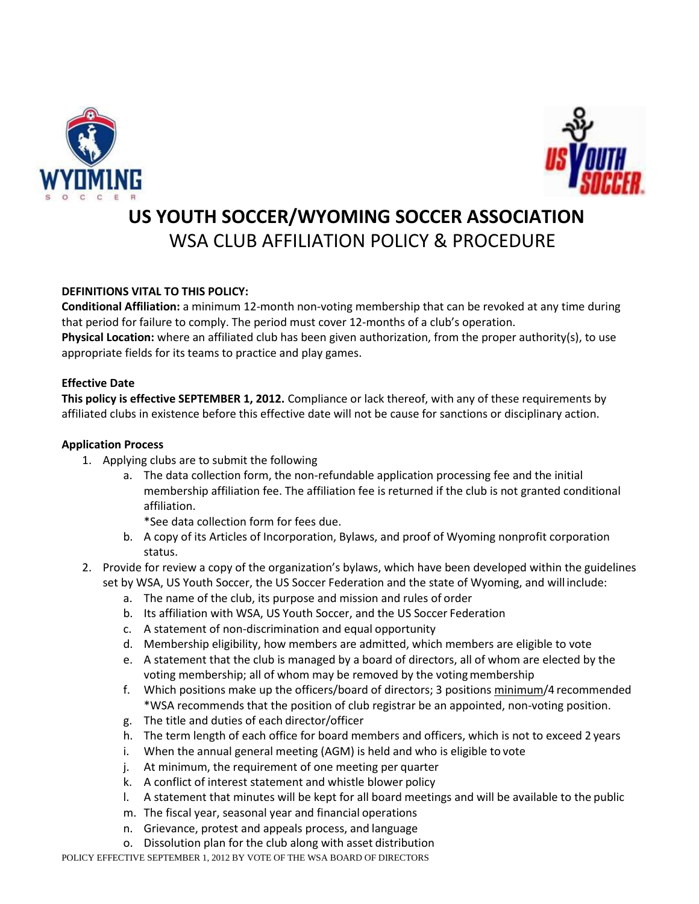



# **US YOUTH SOCCER/WYOMING SOCCER ASSOCIATION** WSA CLUB AFFILIATION POLICY & PROCEDURE

### **DEFINITIONS VITAL TO THIS POLICY:**

**Conditional Affiliation:** a minimum 12-month non-voting membership that can be revoked at any time during that period for failure to comply. The period must cover 12-months of a club's operation. **Physical Location:** where an affiliated club has been given authorization, from the proper authority(s), to use appropriate fields for its teams to practice and play games.

#### **Effective Date**

**This policy is effective SEPTEMBER 1, 2012.** Compliance or lack thereof, with any of these requirements by affiliated clubs in existence before this effective date will not be cause for sanctions or disciplinary action.

#### **Application Process**

- 1. Applying clubs are to submit the following
	- a. The data collection form, the non-refundable application processing fee and the initial membership affiliation fee. The affiliation fee is returned if the club is not granted conditional affiliation.

\*See data collection form for fees due.

- b. A copy of its Articles of Incorporation, Bylaws, and proof of Wyoming nonprofit corporation status.
- 2. Provide for review a copy of the organization's bylaws, which have been developed within the guidelines set by WSA, US Youth Soccer, the US Soccer Federation and the state of Wyoming, and will include:
	- a. The name of the club, its purpose and mission and rules of order
	- b. Its affiliation with WSA, US Youth Soccer, and the US Soccer Federation
	- c. A statement of non-discrimination and equal opportunity
	- d. Membership eligibility, how members are admitted, which members are eligible to vote
	- e. A statement that the club is managed by a board of directors, all of whom are elected by the voting membership; all of whom may be removed by the votingmembership
	- f. Which positions make up the officers/board of directors; 3 positions minimum/4 recommended \*WSA recommends that the position of club registrar be an appointed, non-voting position.
	- g. The title and duties of each director/officer
	- h. The term length of each office for board members and officers, which is not to exceed 2 years
	- i. When the annual general meeting (AGM) is held and who is eligible to vote
	- j. At minimum, the requirement of one meeting per quarter
	- k. A conflict of interest statement and whistle blower policy
	- l. A statement that minutes will be kept for all board meetings and will be available to the public
	- m. The fiscal year, seasonal year and financial operations
	- n. Grievance, protest and appeals process, and language
	- o. Dissolution plan for the club along with asset distribution

POLICY EFFECTIVE SEPTEMBER 1, 2012 BY VOTE OF THE WSA BOARD OF DIRECTORS